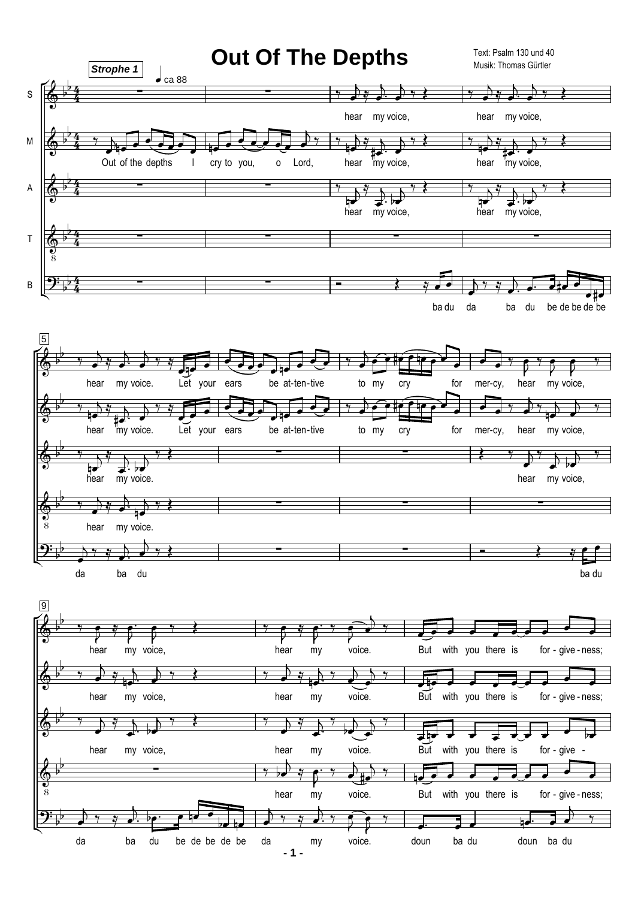